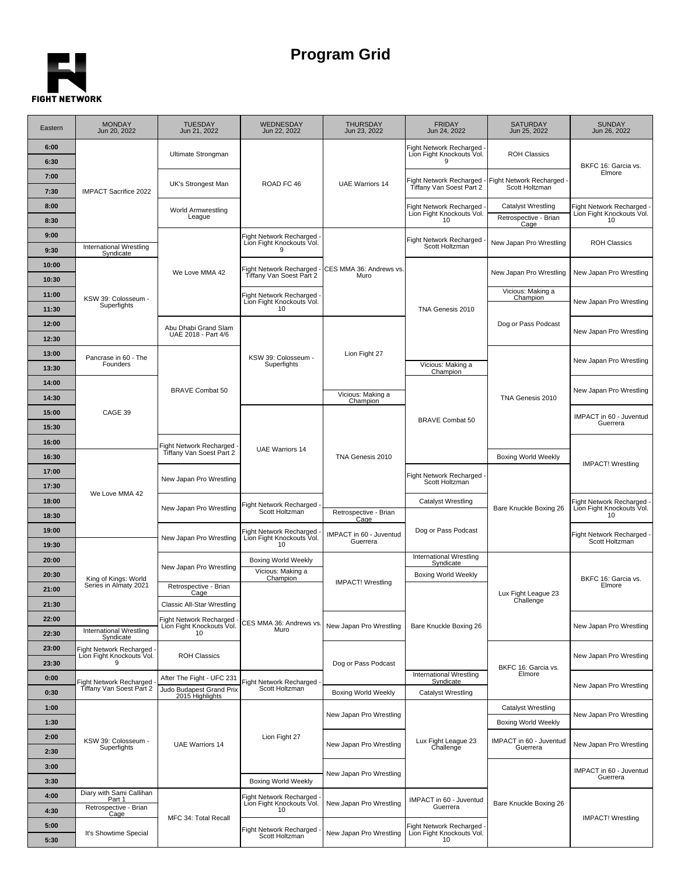

## **Program Grid**

| Eastern        | <b>MONDAY</b><br>Jun 20, 2022                        | <b>TUESDAY</b><br>Jun 21, 2022                       | WEDNESDAY<br>Jun 22, 2022                                  | <b>THURSDAY</b><br>Jun 23, 2022 | <b>FRIDAY</b><br>Jun 24, 2022                          | <b>SATURDAY</b><br>Jun 25, 2022           | <b>SUNDAY</b><br>Jun 26, 2022       |
|----------------|------------------------------------------------------|------------------------------------------------------|------------------------------------------------------------|---------------------------------|--------------------------------------------------------|-------------------------------------------|-------------------------------------|
| 6:00           |                                                      | Ultimate Strongman                                   |                                                            |                                 | Fight Network Recharged<br>Lion Fight Knockouts Vol.   | <b>ROH Classics</b>                       |                                     |
| 6:30           |                                                      |                                                      |                                                            |                                 | 9                                                      |                                           | BKFC 16: Garcia vs.<br>Elmore       |
| 7:00           |                                                      | UK's Strongest Man                                   | ROAD FC 46                                                 | <b>UAE Warriors 14</b>          | Fight Network Recharged<br>Tiffany Van Soest Part 2    | Fight Network Recharged<br>Scott Holtzman |                                     |
| 7:30<br>8:00   | <b>IMPACT Sacrifice 2022</b>                         |                                                      |                                                            |                                 | Fight Network Recharged                                | <b>Catalyst Wrestling</b>                 | Fight Network Recharged -           |
| 8:30           |                                                      | World Armwrestling<br>League                         |                                                            |                                 | Lion Fight Knockouts Vol.<br>10                        | Retrospective - Brian<br>Cage             | Lion Fight Knockouts Vol.<br>10     |
| 9:00           |                                                      |                                                      | Fight Network Recharged<br>Lion Fight Knockouts Vol.       |                                 | Fight Network Recharged                                | New Japan Pro Wrestling                   |                                     |
| 9:30           | <b>International Wrestling</b><br>Syndicate          |                                                      | 9                                                          |                                 | Scott Holtzman                                         |                                           | <b>ROH Classics</b>                 |
| 10:00          |                                                      | We Love MMA 42                                       | Fight Network Recharged<br>Tiffany Van Soest Part 2        | CES MMA 36: Andrews vs.<br>Muro |                                                        | New Japan Pro Wrestling                   | New Japan Pro Wrestling             |
| 10:30<br>11:00 |                                                      |                                                      |                                                            |                                 |                                                        | Vicious: Making a                         |                                     |
| 11:30          | KSW 39: Colosseum -<br>Superfights                   |                                                      | Fight Network Recharged<br>Lion Fight Knockouts Vol.<br>10 |                                 | TNA Genesis 2010                                       | Champion                                  | New Japan Pro Wrestling             |
| 12:00          |                                                      | Abu Dhabi Grand Slam<br>UAE 2018 - Part 4/6          | KSW 39: Colosseum -<br>Superfights                         | Lion Fight 27                   |                                                        | Dog or Pass Podcast                       | New Japan Pro Wrestling             |
| 12:30          |                                                      |                                                      |                                                            |                                 |                                                        |                                           |                                     |
| 13:00          | Pancrase in 60 - The<br>Founders                     |                                                      |                                                            |                                 | Vicious: Making a<br>Champion                          |                                           | New Japan Pro Wrestling             |
| 13:30          |                                                      |                                                      |                                                            |                                 |                                                        |                                           |                                     |
| 14:00<br>14:30 |                                                      | <b>BRAVE Combat 50</b>                               |                                                            | Vicious: Making a               |                                                        | TNA Genesis 2010                          | New Japan Pro Wrestling             |
| 15:00          | CAGE 39                                              |                                                      |                                                            | Champion                        |                                                        |                                           | IMPACT in 60 - Juventud             |
| 15:30          |                                                      |                                                      | <b>UAE Warriors 14</b>                                     | TNA Genesis 2010                | <b>BRAVE Combat 50</b>                                 |                                           | Guerrera                            |
| 16:00          |                                                      | Fight Network Recharged -                            |                                                            |                                 |                                                        |                                           |                                     |
| 16:30          |                                                      | Tiffany Van Soest Part 2                             |                                                            |                                 |                                                        | <b>Boxing World Weekly</b>                | <b>IMPACT!</b> Wrestling            |
| 17:00          | We Love MMA 42                                       | New Japan Pro Wrestling                              |                                                            |                                 | Fight Network Recharged<br>Scott Holtzman              | Bare Knuckle Boxing 26                    |                                     |
| 17:30<br>18:00 |                                                      | New Japan Pro Wrestling                              | Fight Network Recharged<br>Scott Holtzman                  |                                 | <b>Catalyst Wrestling</b>                              |                                           | Fight Network Recharged             |
| 18:30          |                                                      |                                                      |                                                            | Retrospective - Brian<br>Cage   |                                                        |                                           | Lion Fight Knockouts Vol.<br>10     |
| 19:00          |                                                      | New Japan Pro Wrestling                              | Fight Network Recharged<br>Lion Fight Knockouts Vol.       | IMPACT in 60 - Juventud         | Dog or Pass Podcast                                    |                                           | Fight Network Recharged -           |
| 19:30          |                                                      |                                                      | 10                                                         | Guerrera                        |                                                        |                                           | Scott Holtzman                      |
| 20:00          |                                                      | New Japan Pro Wrestling                              | <b>Boxing World Weekly</b><br>Vicious: Making a            | <b>IMPACT!</b> Wrestling        | <b>International Wrestling</b><br>Syndicate            | Lux Fight League 23<br>Challenge          | BKFC 16: Garcia vs.<br>Elmore       |
| 20:30<br>21:00 | King of Kings: World<br>Series in Almaty 2021        | Retrospective - Brian                                | Champion                                                   |                                 | <b>Boxing World Weekly</b>                             |                                           |                                     |
| 21:30          |                                                      | Cage<br><b>Classic All-Star Wrestling</b>            |                                                            |                                 |                                                        |                                           |                                     |
| 22:00          |                                                      | Fight Network Recharged<br>Lion Fight Knockouts Vol. | CES MMA 36: Andrews vs.                                    |                                 |                                                        |                                           |                                     |
| 22:30          | International Wrestling<br>Syndicate                 | 10                                                   | Muro                                                       | New Japan Pro Wrestling         | Bare Knuckle Boxing 26                                 |                                           | New Japan Pro Wrestling             |
| 23:00          | Fight Network Recharged<br>Lion Fight Knockouts Vol. | <b>ROH Classics</b>                                  |                                                            |                                 |                                                        |                                           | New Japan Pro Wrestling             |
| 23:30<br>0:00  |                                                      | After The Fight - UFC 231                            |                                                            | Dog or Pass Podcast             | <b>International Wrestling</b>                         | BKFC 16: Garcia vs.<br>Elmore             | New Japan Pro Wrestling             |
| 0:30           | Fight Network Recharged<br>Tiffany Van Soest Part 2  | <b>Judo Budapest Grand Prix</b><br>2015 Highlights   | Fight Network Recharged<br>Scott Holtzman                  | <b>Boxing World Weekly</b>      | Syndicate<br><b>Catalyst Wrestling</b>                 |                                           |                                     |
| 1:00           |                                                      |                                                      |                                                            |                                 |                                                        | <b>Catalyst Wrestling</b>                 |                                     |
| 1:30           |                                                      |                                                      |                                                            | New Japan Pro Wrestling         |                                                        | <b>Boxing World Weekly</b>                | New Japan Pro Wrestling             |
| 2:00           | KSW 39: Colosseum -<br>Superfights                   | <b>UAE Warriors 14</b>                               | Lion Fight 27                                              | New Japan Pro Wrestling         | Lux Fight League 23<br>Challenge                       | IMPACT in 60 - Juventud<br>Guerrera       | New Japan Pro Wrestling             |
| 2:30           |                                                      |                                                      |                                                            | New Japan Pro Wrestling         |                                                        |                                           | IMPACT in 60 - Juventud<br>Guerrera |
| 3:00<br>3:30   |                                                      |                                                      | <b>Boxing World Weekly</b>                                 |                                 |                                                        |                                           |                                     |
| 4:00           | Diary with Sami Callihan<br>Part 1                   |                                                      | Fight Network Recharged                                    |                                 | IMPACT in 60 - Juventud                                |                                           |                                     |
| 4:30           | Retrospective - Brian<br>Cage                        | MFC 34: Total Recall                                 | Lion Fight Knockouts Vol.<br>10                            | New Japan Pro Wrestling         | Guerrera                                               | Bare Knuckle Boxing 26                    | <b>IMPACT!</b> Wrestling            |
| 5:00           | It's Showtime Special                                |                                                      | Fight Network Recharged                                    | New Japan Pro Wrestling         | Fight Network Recharged -<br>Lion Fight Knockouts Vol. |                                           |                                     |
| 5:30           |                                                      |                                                      | Scott Holtzman                                             |                                 | 10                                                     |                                           |                                     |